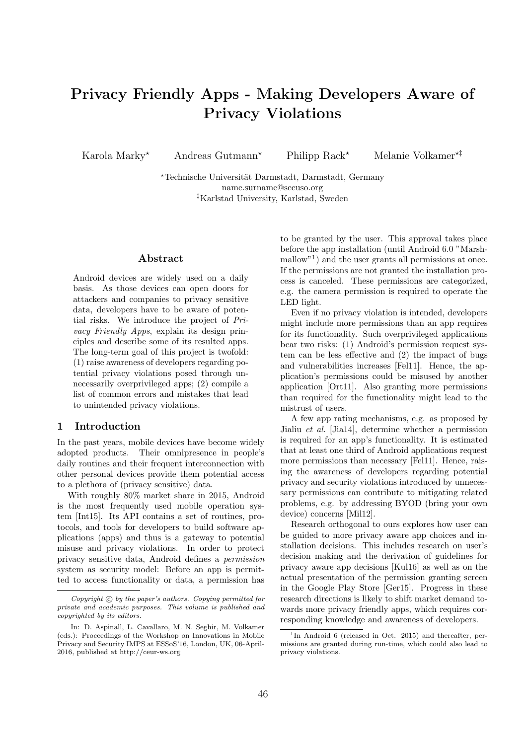# Privacy Friendly Apps - Making Developers Aware of Privacy Violations

Karola Marky<sup>\*</sup> Andreas Gutmann<sup>\*</sup> Philipp Rack<sup>\*</sup> Melanie Volkamer<sup>\*†</sup>

\*Technische Universität Darmstadt, Darmstadt, Germany name.surname@secuso.org ‡Karlstad University, Karlstad, Sweden

## Abstract

Android devices are widely used on a daily basis. As those devices can open doors for attackers and companies to privacy sensitive data, developers have to be aware of potential risks. We introduce the project of Privacy Friendly Apps, explain its design principles and describe some of its resulted apps. The long-term goal of this project is twofold: (1) raise awareness of developers regarding potential privacy violations posed through unnecessarily overprivileged apps; (2) compile a list of common errors and mistakes that lead to unintended privacy violations.

#### 1 Introduction

In the past years, mobile devices have become widely adopted products. Their omnipresence in people's daily routines and their frequent interconnection with other personal devices provide them potential access to a plethora of (privacy sensitive) data.

With roughly 80% market share in 2015, Android is the most frequently used mobile operation system [Int15]. Its API contains a set of routines, protocols, and tools for developers to build software applications (apps) and thus is a gateway to potential misuse and privacy violations. In order to protect privacy sensitive data, Android defines a permission system as security model: Before an app is permitted to access functionality or data, a permission has

to be granted by the user. This approval takes place before the app installation (until Android 6.0 "Marshmallow"<sup>1</sup>) and the user grants all permissions at once. If the permissions are not granted the installation process is canceled. These permissions are categorized, e.g. the camera permission is required to operate the LED light.

Even if no privacy violation is intended, developers might include more permissions than an app requires for its functionality. Such overprivileged applications bear two risks: (1) Android's permission request system can be less effective and (2) the impact of bugs and vulnerabilities increases [Fel11]. Hence, the application's permissions could be misused by another application [Ort11]. Also granting more permissions than required for the functionality might lead to the mistrust of users.

A few app rating mechanisms, e.g. as proposed by Jialiu et al. [Jia14], determine whether a permission is required for an app's functionality. It is estimated that at least one third of Android applications request more permissions than necessary [Fel11]. Hence, raising the awareness of developers regarding potential privacy and security violations introduced by unnecessary permissions can contribute to mitigating related problems, e.g. by addressing BYOD (bring your own device) concerns [Mil12].

Research orthogonal to ours explores how user can be guided to more privacy aware app choices and installation decisions. This includes research on user's decision making and the derivation of guidelines for privacy aware app decisions [Kul16] as well as on the actual presentation of the permission granting screen in the Google Play Store [Ger15]. Progress in these research directions is likely to shift market demand towards more privacy friendly apps, which requires corresponding knowledge and awareness of developers.

Copyright  $\odot$  by the paper's authors. Copying permitted for private and academic purposes. This volume is published and copyrighted by its editors.

In: D. Aspinall, L. Cavallaro, M. N. Seghir, M. Volkamer (eds.): Proceedings of the Workshop on Innovations in Mobile Privacy and Security IMPS at ESSoS'16, London, UK, 06-April-2016, published at http://ceur-ws.org

<sup>&</sup>lt;sup>1</sup>In Android 6 (released in Oct. 2015) and thereafter, permissions are granted during run-time, which could also lead to privacy violations.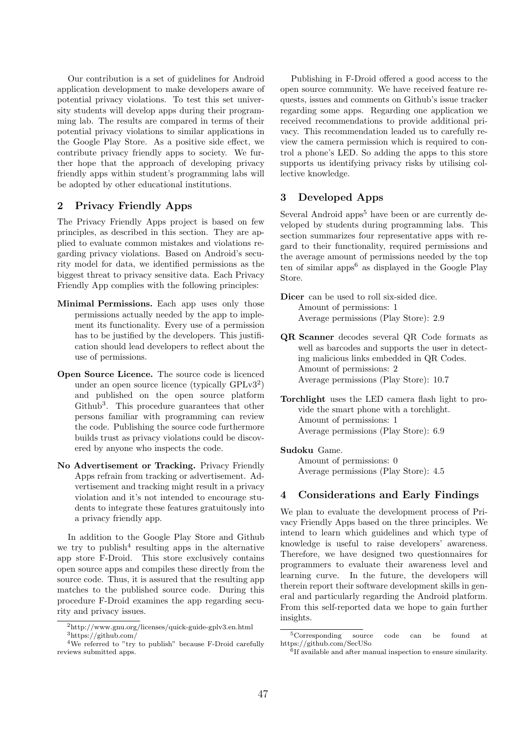Our contribution is a set of guidelines for Android application development to make developers aware of potential privacy violations. To test this set university students will develop apps during their programming lab. The results are compared in terms of their potential privacy violations to similar applications in the Google Play Store. As a positive side effect, we contribute privacy friendly apps to society. We further hope that the approach of developing privacy friendly apps within student's programming labs will be adopted by other educational institutions.

## 2 Privacy Friendly Apps

The Privacy Friendly Apps project is based on few principles, as described in this section. They are applied to evaluate common mistakes and violations regarding privacy violations. Based on Android's security model for data, we identified permissions as the biggest threat to privacy sensitive data. Each Privacy Friendly App complies with the following principles:

- Minimal Permissions. Each app uses only those permissions actually needed by the app to implement its functionality. Every use of a permission has to be justified by the developers. This justification should lead developers to reflect about the use of permissions.
- Open Source Licence. The source code is licenced under an open source licence (typically  $\text{GPLv3}^2$ ) and published on the open source platform Github<sup>3</sup>. This procedure guarantees that other persons familiar with programming can review the code. Publishing the source code furthermore builds trust as privacy violations could be discovered by anyone who inspects the code.
- No Advertisement or Tracking. Privacy Friendly Apps refrain from tracking or advertisement. Advertisement and tracking might result in a privacy violation and it's not intended to encourage students to integrate these features gratuitously into a privacy friendly app.

In addition to the Google Play Store and Github we try to publish<sup>4</sup> resulting apps in the alternative app store F-Droid. This store exclusively contains open source apps and compiles these directly from the source code. Thus, it is assured that the resulting app matches to the published source code. During this procedure F-Droid examines the app regarding security and privacy issues.

Publishing in F-Droid offered a good access to the open source community. We have received feature requests, issues and comments on Github's issue tracker regarding some apps. Regarding one application we received recommendations to provide additional privacy. This recommendation leaded us to carefully review the camera permission which is required to control a phone's LED. So adding the apps to this store supports us identifying privacy risks by utilising collective knowledge.

# 3 Developed Apps

Several Android apps<sup>5</sup> have been or are currently developed by students during programming labs. This section summarizes four representative apps with regard to their functionality, required permissions and the average amount of permissions needed by the top ten of similar apps<sup> $6$ </sup> as displayed in the Google Play Store.

Dicer can be used to roll six-sided dice. Amount of permissions: 1 Average permissions (Play Store): 2.9

- QR Scanner decodes several QR Code formats as well as barcodes and supports the user in detecting malicious links embedded in QR Codes. Amount of permissions: 2 Average permissions (Play Store): 10.7
- Torchlight uses the LED camera flash light to provide the smart phone with a torchlight. Amount of permissions: 1 Average permissions (Play Store): 6.9

### Sudoku Game.

Amount of permissions: 0 Average permissions (Play Store): 4.5

# 4 Considerations and Early Findings

We plan to evaluate the development process of Privacy Friendly Apps based on the three principles. We intend to learn which guidelines and which type of knowledge is useful to raise developers' awareness. Therefore, we have designed two questionnaires for programmers to evaluate their awareness level and learning curve. In the future, the developers will therein report their software development skills in general and particularly regarding the Android platform. From this self-reported data we hope to gain further insights.

 $^2$ http://www.gnu.org/licenses/quick-guide-gplv3.en.html <sup>3</sup>https://github.com/

<sup>&</sup>lt;sup>4</sup>We referred to "try to publish" because F-Droid carefully reviews submitted apps.

<sup>5</sup>Corresponding source code can be found at https://github.com/SecUSo

<sup>6</sup> If available and after manual inspection to ensure similarity.